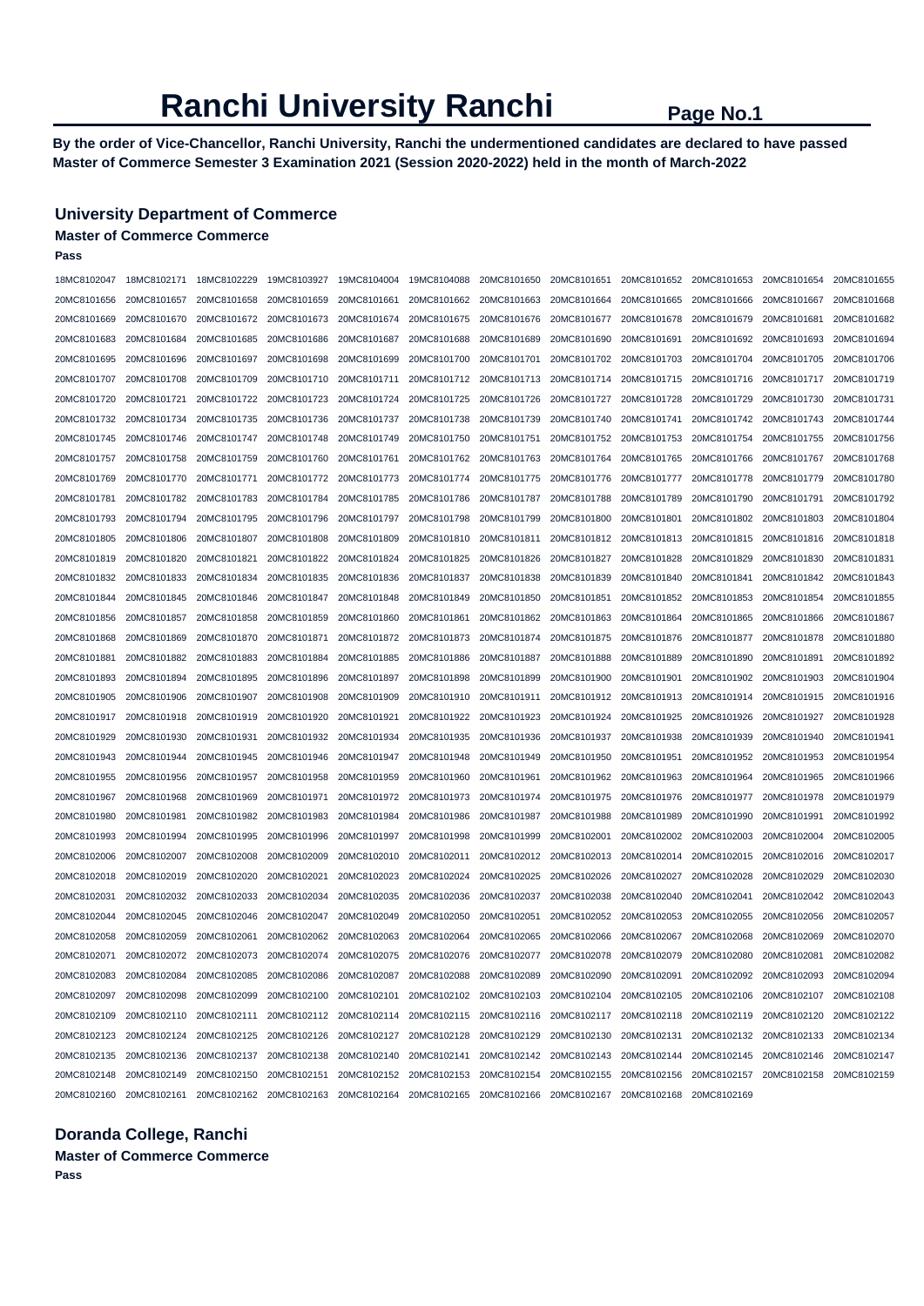# **Ranchi University Ranchi** Page No.1

**By the order of Vice-Chancellor, Ranchi University, Ranchi the undermentioned candidates are declared to have passed Master of Commerce Semester 3 Examination 2021 (Session 2020-2022) held in the month of March-2022** 

### **University Department of Commerce**

# **Master of Commerce Commerce**

**Pass** 

| 18MC8102047 | 18MC8102171                         | 18MC8102229 | 19MC8103927             | 19MC8104004                                                                         | 19MC8104088 | 20MC8101650                                                 | 20MC8101651 | 20MC8101652 | 20MC8101653 | 20MC8101654                         | 20MC8101655 |
|-------------|-------------------------------------|-------------|-------------------------|-------------------------------------------------------------------------------------|-------------|-------------------------------------------------------------|-------------|-------------|-------------|-------------------------------------|-------------|
| 20MC8101656 | 20MC8101657                         | 20MC8101658 | 20MC8101659             | 20MC8101661                                                                         | 20MC8101662 | 20MC8101663                                                 | 20MC8101664 | 20MC8101665 | 20MC8101666 | 20MC8101667                         | 20MC8101668 |
| 20MC8101669 | 20MC8101670                         | 20MC8101672 | 20MC8101673             | 20MC8101674                                                                         | 20MC8101675 | 20MC8101676                                                 | 20MC8101677 | 20MC8101678 | 20MC8101679 | 20MC8101681                         | 20MC8101682 |
| 20MC8101683 | 20MC8101684                         | 20MC8101685 | 20MC8101686             | 20MC8101687                                                                         | 20MC8101688 | 20MC8101689                                                 | 20MC8101690 | 20MC8101691 | 20MC8101692 | 20MC8101693                         | 20MC8101694 |
| 20MC8101695 | 20MC8101696                         | 20MC8101697 | 20MC8101698             | 20MC8101699                                                                         | 20MC8101700 | 20MC8101701                                                 | 20MC8101702 | 20MC8101703 | 20MC8101704 | 20MC8101705                         | 20MC8101706 |
| 20MC8101707 | 20MC8101708                         | 20MC8101709 | 20MC8101710             | 20MC8101711                                                                         | 20MC8101712 | 20MC8101713                                                 | 20MC8101714 | 20MC8101715 | 20MC8101716 | 20MC8101717                         | 20MC8101719 |
| 20MC8101720 | 20MC8101721                         | 20MC8101722 | 20MC8101723             | 20MC8101724                                                                         | 20MC8101725 | 20MC8101726                                                 | 20MC8101727 | 20MC8101728 | 20MC8101729 | 20MC8101730                         | 20MC8101731 |
| 20MC8101732 | 20MC8101734                         | 20MC8101735 | 20MC8101736             | 20MC8101737                                                                         | 20MC8101738 | 20MC8101739                                                 | 20MC8101740 | 20MC8101741 | 20MC8101742 | 20MC8101743                         | 20MC8101744 |
| 20MC8101745 | 20MC8101746                         | 20MC8101747 | 20MC8101748             | 20MC8101749                                                                         | 20MC8101750 | 20MC8101751                                                 | 20MC8101752 | 20MC8101753 | 20MC8101754 | 20MC8101755                         | 20MC8101756 |
| 20MC8101757 | 20MC8101758                         | 20MC8101759 | 20MC8101760             | 20MC8101761                                                                         | 20MC8101762 | 20MC8101763                                                 | 20MC8101764 | 20MC8101765 | 20MC8101766 | 20MC8101767                         | 20MC8101768 |
| 20MC8101769 | 20MC8101770                         | 20MC8101771 | 20MC8101772             | 20MC8101773                                                                         | 20MC8101774 | 20MC8101775                                                 | 20MC8101776 | 20MC8101777 | 20MC8101778 | 20MC8101779                         | 20MC8101780 |
| 20MC8101781 | 20MC8101782                         | 20MC8101783 | 20MC8101784             | 20MC8101785                                                                         | 20MC8101786 | 20MC8101787                                                 | 20MC8101788 | 20MC8101789 | 20MC8101790 | 20MC8101791                         | 20MC8101792 |
| 20MC8101793 | 20MC8101794                         | 20MC8101795 | 20MC8101796             | 20MC8101797                                                                         | 20MC8101798 | 20MC8101799                                                 | 20MC8101800 | 20MC8101801 | 20MC8101802 | 20MC8101803                         | 20MC8101804 |
| 20MC8101805 | 20MC8101806                         | 20MC8101807 | 20MC8101808             | 20MC8101809                                                                         | 20MC8101810 | 20MC8101811                                                 | 20MC8101812 | 20MC8101813 | 20MC8101815 | 20MC8101816                         | 20MC8101818 |
| 20MC8101819 | 20MC8101820                         | 20MC8101821 | 20MC8101822             | 20MC8101824                                                                         | 20MC8101825 | 20MC8101826                                                 | 20MC8101827 | 20MC8101828 | 20MC8101829 | 20MC8101830                         | 20MC8101831 |
| 20MC8101832 | 20MC8101833                         | 20MC8101834 | 20MC8101835             | 20MC8101836                                                                         | 20MC8101837 | 20MC8101838                                                 | 20MC8101839 | 20MC8101840 | 20MC8101841 | 20MC8101842                         | 20MC8101843 |
| 20MC8101844 | 20MC8101845                         | 20MC8101846 | 20MC8101847             | 20MC8101848                                                                         | 20MC8101849 | 20MC8101850                                                 | 20MC8101851 | 20MC8101852 | 20MC8101853 | 20MC8101854                         | 20MC8101855 |
| 20MC8101856 | 20MC8101857                         | 20MC8101858 | 20MC8101859             | 20MC8101860                                                                         | 20MC8101861 | 20MC8101862                                                 | 20MC8101863 | 20MC8101864 | 20MC8101865 | 20MC8101866                         | 20MC8101867 |
| 20MC8101868 | 20MC8101869                         | 20MC8101870 | 20MC8101871             | 20MC8101872                                                                         | 20MC8101873 | 20MC8101874                                                 | 20MC8101875 | 20MC8101876 | 20MC8101877 | 20MC8101878                         | 20MC8101880 |
| 20MC8101881 | 20MC8101882                         | 20MC8101883 | 20MC8101884             | 20MC8101885                                                                         | 20MC8101886 | 20MC8101887                                                 | 20MC8101888 | 20MC8101889 | 20MC8101890 | 20MC8101891                         | 20MC8101892 |
| 20MC8101893 | 20MC8101894                         | 20MC8101895 | 20MC8101896             | 20MC8101897                                                                         | 20MC8101898 | 20MC8101899                                                 | 20MC8101900 | 20MC8101901 | 20MC8101902 | 20MC8101903                         | 20MC8101904 |
| 20MC8101905 | 20MC8101906                         | 20MC8101907 | 20MC8101908             | 20MC8101909                                                                         | 20MC8101910 | 20MC8101911                                                 | 20MC8101912 | 20MC8101913 | 20MC8101914 | 20MC8101915                         | 20MC8101916 |
| 20MC8101917 | 20MC8101918                         | 20MC8101919 | 20MC8101920             | 20MC8101921                                                                         | 20MC8101922 | 20MC8101923                                                 | 20MC8101924 | 20MC8101925 | 20MC8101926 | 20MC8101927                         | 20MC8101928 |
| 20MC8101929 | 20MC8101930                         | 20MC8101931 | 20MC8101932             | 20MC8101934                                                                         | 20MC8101935 | 20MC8101936                                                 | 20MC8101937 | 20MC8101938 | 20MC8101939 | 20MC8101940                         | 20MC8101941 |
| 20MC8101943 | 20MC8101944                         | 20MC8101945 | 20MC8101946             | 20MC8101947                                                                         | 20MC8101948 | 20MC8101949                                                 | 20MC8101950 | 20MC8101951 | 20MC8101952 | 20MC8101953                         | 20MC8101954 |
| 20MC8101955 | 20MC8101956                         | 20MC8101957 | 20MC8101958             | 20MC8101959                                                                         | 20MC8101960 | 20MC8101961                                                 | 20MC8101962 | 20MC8101963 | 20MC8101964 | 20MC8101965                         | 20MC8101966 |
| 20MC8101967 | 20MC8101968                         | 20MC8101969 | 20MC8101971             | 20MC8101972                                                                         | 20MC8101973 | 20MC8101974                                                 | 20MC8101975 | 20MC8101976 | 20MC8101977 | 20MC8101978                         | 20MC8101979 |
| 20MC8101980 | 20MC8101981                         | 20MC8101982 | 20MC8101983             | 20MC8101984                                                                         | 20MC8101986 | 20MC8101987                                                 | 20MC8101988 | 20MC8101989 | 20MC8101990 | 20MC8101991                         | 20MC8101992 |
| 20MC8101993 | 20MC8101994                         | 20MC8101995 | 20MC8101996             | 20MC8101997                                                                         | 20MC8101998 | 20MC8101999                                                 | 20MC8102001 | 20MC8102002 | 20MC8102003 | 20MC8102004                         | 20MC8102005 |
| 20MC8102006 | 20MC8102007                         | 20MC8102008 | 20MC8102009             | 20MC8102010                                                                         | 20MC8102011 | 20MC8102012                                                 | 20MC8102013 | 20MC8102014 | 20MC8102015 | 20MC8102016                         | 20MC8102017 |
| 20MC8102018 | 20MC8102019                         | 20MC8102020 | 20MC8102021             | 20MC8102023                                                                         | 20MC8102024 | 20MC8102025                                                 | 20MC8102026 | 20MC8102027 | 20MC8102028 | 20MC8102029                         | 20MC8102030 |
| 20MC8102031 | 20MC8102032                         | 20MC8102033 | 20MC8102034             | 20MC8102035                                                                         | 20MC8102036 | 20MC8102037                                                 | 20MC8102038 | 20MC8102040 | 20MC8102041 | 20MC8102042                         | 20MC8102043 |
| 20MC8102044 | 20MC8102045                         | 20MC8102046 | 20MC8102047             | 20MC8102049                                                                         | 20MC8102050 | 20MC8102051                                                 | 20MC8102052 | 20MC8102053 | 20MC8102055 | 20MC8102056                         | 20MC8102057 |
| 20MC8102058 | 20MC8102059                         | 20MC8102061 | 20MC8102062             | 20MC8102063                                                                         | 20MC8102064 | 20MC8102065                                                 | 20MC8102066 | 20MC8102067 | 20MC8102068 | 20MC8102069                         | 20MC8102070 |
| 20MC8102071 | 20MC8102072                         | 20MC8102073 | 20MC8102074             | 20MC8102075                                                                         | 20MC8102076 | 20MC8102077                                                 | 20MC8102078 | 20MC8102079 | 20MC8102080 | 20MC8102081                         | 20MC8102082 |
| 20MC8102083 | 20MC8102084                         |             |                         |                                                                                     |             |                                                             |             | 20MC8102091 | 20MC8102092 | 20MC8102093 20MC8102094             |             |
| 20MC8102097 | 20MC8102098                         | 20MC8102099 | 20MC8102100 20MC8102101 |                                                                                     | 20MC8102102 | 20MC8102103 20MC8102104                                     |             | 20MC8102105 | 20MC8102106 | 20MC8102107                         | 20MC8102108 |
| 20MC8102109 | 20MC8102110 20MC8102111             |             |                         | 20MC8102112  20MC8102114  20MC8102115  20MC8102116  20MC8102117  20MC8102118        |             |                                                             |             |             | 20MC8102119 | 20MC8102120                         | 20MC8102122 |
|             | 20MC8102123 20MC8102124             | 20MC8102125 |                         |                                                                                     |             |                                                             |             | 20MC8102131 | 20MC8102132 | 20MC8102133 20MC8102134             |             |
|             | 20MC8102135 20MC8102136 20MC8102137 |             | 20MC8102138             | 20MC8102140                                                                         |             | 20MC8102141 20MC8102142 20MC8102143                         |             | 20MC8102144 | 20MC8102145 | 20MC8102146                         | 20MC8102147 |
|             | 20MC8102148 20MC8102149 20MC8102150 |             | 20MC8102151             |                                                                                     |             | 20MC8102152 20MC8102153 20MC8102154 20MC8102155 20MC8102156 |             |             |             | 20MC8102157 20MC8102158 20MC8102159 |             |
| 20MC8102160 | 20MC8102161                         |             |                         | 20MC8102162 20MC8102163 20MC8102164 20MC8102165 20MC8102166 20MC8102167 20MC8102168 |             |                                                             |             |             | 20MC8102169 |                                     |             |

# **Doranda College, Ranchi Master of Commerce Commerce Pass**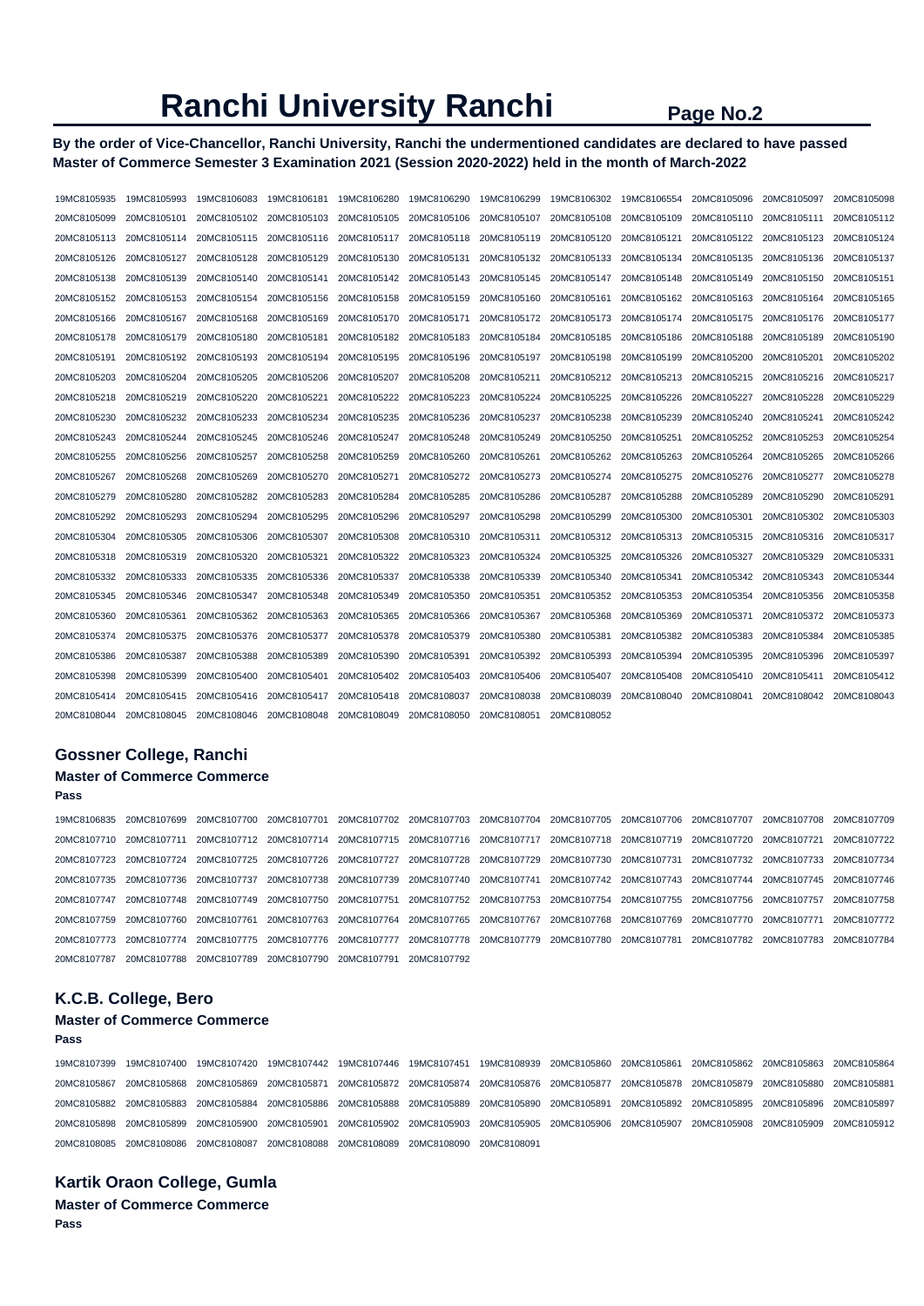# **Ranchi University Ranchi Page No.2**

**By the order of Vice-Chancellor, Ranchi University, Ranchi the undermentioned candidates are declared to have passed Master of Commerce Semester 3 Examination 2021 (Session 2020-2022) held in the month of March-2022** 

| 19MC8105935 | 19MC8105993 | 19MC8106083 | 19MC8106181 | 19MC8106280 | 19MC8106290 | 19MC8106299 | 19MC8106302 | 19MC8106554 | 20MC8105096 | 20MC8105097 | 20MC8105098 |
|-------------|-------------|-------------|-------------|-------------|-------------|-------------|-------------|-------------|-------------|-------------|-------------|
| 20MC8105099 | 20MC8105101 | 20MC8105102 | 20MC8105103 | 20MC8105105 | 20MC8105106 | 20MC8105107 | 20MC8105108 | 20MC8105109 | 20MC8105110 | 20MC8105111 | 20MC8105112 |
| 20MC8105113 | 20MC8105114 | 20MC8105115 | 20MC8105116 | 20MC8105117 | 20MC8105118 | 20MC8105119 | 20MC8105120 | 20MC8105121 | 20MC8105122 | 20MC8105123 | 20MC8105124 |
| 20MC8105126 | 20MC8105127 | 20MC8105128 | 20MC8105129 | 20MC8105130 | 20MC8105131 | 20MC8105132 | 20MC8105133 | 20MC8105134 | 20MC8105135 | 20MC8105136 | 20MC8105137 |
| 20MC8105138 | 20MC8105139 | 20MC8105140 | 20MC8105141 | 20MC8105142 | 20MC8105143 | 20MC8105145 | 20MC8105147 | 20MC8105148 | 20MC8105149 | 20MC8105150 | 20MC8105151 |
| 20MC8105152 | 20MC8105153 | 20MC8105154 | 20MC8105156 | 20MC8105158 | 20MC8105159 | 20MC8105160 | 20MC8105161 | 20MC8105162 | 20MC8105163 | 20MC8105164 | 20MC8105165 |
| 20MC8105166 | 20MC8105167 | 20MC8105168 | 20MC8105169 | 20MC8105170 | 20MC8105171 | 20MC8105172 | 20MC8105173 | 20MC8105174 | 20MC8105175 | 20MC8105176 | 20MC8105177 |
| 20MC8105178 | 20MC8105179 | 20MC8105180 | 20MC8105181 | 20MC8105182 | 20MC8105183 | 20MC8105184 | 20MC8105185 | 20MC8105186 | 20MC8105188 | 20MC8105189 | 20MC8105190 |
| 20MC8105191 | 20MC8105192 | 20MC8105193 | 20MC8105194 | 20MC8105195 | 20MC8105196 | 20MC8105197 | 20MC8105198 | 20MC8105199 | 20MC8105200 | 20MC8105201 | 20MC8105202 |
| 20MC8105203 | 20MC8105204 | 20MC8105205 | 20MC8105206 | 20MC8105207 | 20MC8105208 | 20MC8105211 | 20MC8105212 | 20MC8105213 | 20MC8105215 | 20MC8105216 | 20MC8105217 |
| 20MC8105218 | 20MC8105219 | 20MC8105220 | 20MC8105221 | 20MC8105222 | 20MC8105223 | 20MC8105224 | 20MC8105225 | 20MC8105226 | 20MC8105227 | 20MC8105228 | 20MC8105229 |
| 20MC8105230 | 20MC8105232 | 20MC8105233 | 20MC8105234 | 20MC8105235 | 20MC8105236 | 20MC8105237 | 20MC8105238 | 20MC8105239 | 20MC8105240 | 20MC8105241 | 20MC8105242 |
| 20MC8105243 | 20MC8105244 | 20MC8105245 | 20MC8105246 | 20MC8105247 | 20MC8105248 | 20MC8105249 | 20MC8105250 | 20MC8105251 | 20MC8105252 | 20MC8105253 | 20MC8105254 |
| 20MC8105255 | 20MC8105256 | 20MC8105257 | 20MC8105258 | 20MC8105259 | 20MC8105260 | 20MC8105261 | 20MC8105262 | 20MC8105263 | 20MC8105264 | 20MC8105265 | 20MC8105266 |
| 20MC8105267 | 20MC8105268 | 20MC8105269 | 20MC8105270 | 20MC8105271 | 20MC8105272 | 20MC8105273 | 20MC8105274 | 20MC8105275 | 20MC8105276 | 20MC8105277 | 20MC8105278 |
| 20MC8105279 | 20MC8105280 | 20MC8105282 | 20MC8105283 | 20MC8105284 | 20MC8105285 | 20MC8105286 | 20MC8105287 | 20MC8105288 | 20MC8105289 | 20MC8105290 | 20MC8105291 |
| 20MC8105292 | 20MC8105293 | 20MC8105294 | 20MC8105295 | 20MC8105296 | 20MC8105297 | 20MC8105298 | 20MC8105299 | 20MC8105300 | 20MC8105301 | 20MC8105302 | 20MC8105303 |
| 20MC8105304 | 20MC8105305 | 20MC8105306 | 20MC8105307 | 20MC8105308 | 20MC8105310 | 20MC8105311 | 20MC8105312 | 20MC8105313 | 20MC8105315 | 20MC8105316 | 20MC8105317 |
| 20MC8105318 | 20MC8105319 | 20MC8105320 | 20MC8105321 | 20MC8105322 | 20MC8105323 | 20MC8105324 | 20MC8105325 | 20MC8105326 | 20MC8105327 | 20MC8105329 | 20MC8105331 |
| 20MC8105332 | 20MC8105333 | 20MC8105335 | 20MC8105336 | 20MC8105337 | 20MC8105338 | 20MC8105339 | 20MC8105340 | 20MC8105341 | 20MC8105342 | 20MC8105343 | 20MC8105344 |
| 20MC8105345 | 20MC8105346 | 20MC8105347 | 20MC8105348 | 20MC8105349 | 20MC8105350 | 20MC8105351 | 20MC8105352 | 20MC8105353 | 20MC8105354 | 20MC8105356 | 20MC8105358 |
| 20MC8105360 | 20MC8105361 | 20MC8105362 | 20MC8105363 | 20MC8105365 | 20MC8105366 | 20MC8105367 | 20MC8105368 | 20MC8105369 | 20MC8105371 | 20MC8105372 | 20MC8105373 |
| 20MC8105374 | 20MC8105375 | 20MC8105376 | 20MC8105377 | 20MC8105378 | 20MC8105379 | 20MC8105380 | 20MC8105381 | 20MC8105382 | 20MC8105383 | 20MC8105384 | 20MC8105385 |
| 20MC8105386 | 20MC8105387 | 20MC8105388 | 20MC8105389 | 20MC8105390 | 20MC8105391 | 20MC8105392 | 20MC8105393 | 20MC8105394 | 20MC8105395 | 20MC8105396 | 20MC8105397 |
| 20MC8105398 | 20MC8105399 | 20MC8105400 | 20MC8105401 | 20MC8105402 | 20MC8105403 | 20MC8105406 | 20MC8105407 | 20MC8105408 | 20MC8105410 | 20MC8105411 | 20MC8105412 |
| 20MC8105414 | 20MC8105415 | 20MC8105416 | 20MC8105417 | 20MC8105418 | 20MC8108037 | 20MC8108038 | 20MC8108039 | 20MC8108040 | 20MC8108041 | 20MC8108042 | 20MC8108043 |
| 20MC8108044 | 20MC8108045 | 20MC8108046 | 20MC8108048 | 20MC8108049 | 20MC8108050 | 20MC8108051 | 20MC8108052 |             |             |             |             |

# **Gossner College, Ranchi**

**Pass** 

**Pass** 

# **Master of Commerce Commerce**

19MC8106835 20MC8107699 20MC8107700 20MC8107701 20MC8107702 20MC8107703 20MC8107704 20MC8107705 20MC8107706 20MC8107707 20MC8107708 20MC8107709 20MC8107710 20MC8107711 20MC8107712 20MC8107714 20MC8107715 20MC8107716 20MC8107717 20MC8107718 20MC8107719 20MC8107720 20MC8107721 20MC8107722 20MC8107723 20MC8107724 20MC8107725 20MC8107726 20MC8107727 20MC8107728 20MC8107729 20MC8107730 20MC8107731 20MC8107732 20MC8107733 20MC8107734 20MC8107735 20MC8107736 20MC8107737 20MC8107738 20MC8107739 20MC8107740 20MC8107741 20MC8107742 20MC8107743 20MC8107744 20MC8107745 20MC8107746 20MC8107747 20MC8107748 20MC8107749 20MC8107750 20MC8107751 20MC8107752 20MC8107753 20MC8107754 20MC8107755 20MC8107756 20MC8107757 20MC8107758 20MC8107759 20MC8107760 20MC8107761 20MC8107763 20MC8107764 20MC8107765 20MC8107767 20MC8107768 20MC8107769 20MC8107770 20MC8107771 20MC8107772 20MC8107773 20MC8107774 20MC8107775 20MC8107776 20MC8107777 20MC8107778 20MC8107779 20MC8107780 20MC8107781 20MC8107782 20MC8107783 20MC8107784 20MC8107787 20MC8107788 20MC8107789 20MC8107790 20MC8107791 20MC8107792

## **K.C.B. College, Bero**

## **Master of Commerce Commerce**

19MC8107399 19MC8107400 19MC8107420 19MC8107442 19MC8107446 19MC8107451 19MC8108939 20MC8105860 20MC8105861 20MC8105862 20MC8105863 20MC8105864 20MC8105867 20MC8105868 20MC8105869 20MC8105871 20MC8105872 20MC8105874 20MC8105876 20MC8105877 20MC8105878 20MC8105879 20MC8105880 20MC8105881 20MC8105882 20MC8105883 20MC8105884 20MC8105886 20MC8105888 20MC8105889 20MC8105890 20MC8105891 20MC8105892 20MC8105895 20MC8105896 20MC8105897 20MC8105898 20MC8105899 20MC8105900 20MC8105901 20MC8105902 20MC8105903 20MC8105905 20MC8105906 20MC8105907 20MC8105908 20MC8105909 20MC8105912 20MC8108085 20MC8108086 20MC8108087 20MC8108088 20MC8108089 20MC8108090 20MC8108091

# **Kartik Oraon College, Gumla**

**Master of Commerce Commerce Pass**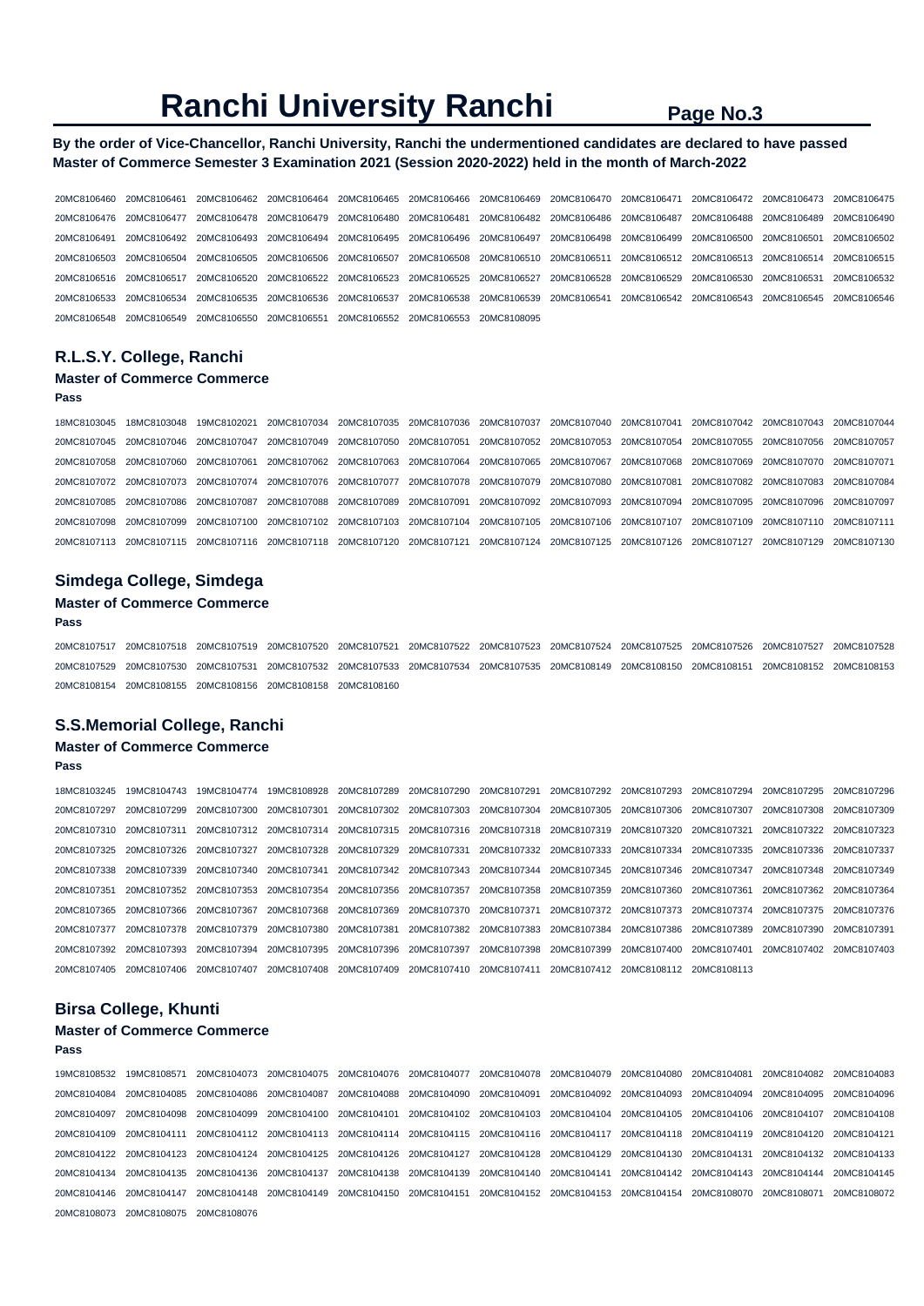# **Ranchi University Ranchi** Page No.3

### **By the order of Vice-Chancellor, Ranchi University, Ranchi the undermentioned candidates are declared to have passed Master of Commerce Semester 3 Examination 2021 (Session 2020-2022) held in the month of March-2022**

20MC8106460 20MC8106461 20MC8106462 20MC8106464 20MC8106465 20MC8106466 20MC8106469 20MC8106470 20MC8106471 20MC8106472 20MC8106473 20MC8106475 20MC8106476 20MC8106477 20MC8106478 20MC8106479 20MC8106480 20MC8106481 20MC8106482 20MC8106486 20MC8106487 20MC8106488 20MC8106489 20MC8106490 20MC8106491 20MC8106492 20MC8106493 20MC8106494 20MC8106495 20MC8106496 20MC8106497 20MC8106498 20MC8106499 20MC8106500 20MC8106501 20MC8106502 20MC8106503 20MC8106504 20MC8106505 20MC8106506 20MC8106507 20MC8106508 20MC8106510 20MC8106511 20MC8106512 20MC8106513 20MC8106514 20MC8106515 20MC8106516 20MC8106517 20MC8106520 20MC8106522 20MC8106523 20MC8106525 20MC8106527 20MC8106528 20MC8106529 20MC8106530 20MC8106531 20MC8106532 20MC8106533 20MC8106534 20MC8106535 20MC8106536 20MC8106537 20MC8106538 20MC8106539 20MC8106541 20MC8106542 20MC8106543 20MC8106545 20MC8106546 20MC8106548 20MC8106549 20MC8106550 20MC8106551 20MC8106552 20MC8106553 20MC8108095

## **R.L.S.Y. College, Ranchi**

#### **Master of Commerce Commerce**

#### **Pass**

18MC8103045 18MC8103048 19MC8102021 20MC8107034 20MC8107035 20MC8107036 20MC8107037 20MC8107040 20MC8107041 20MC8107042 20MC8107043 20MC8107044 20MC8107045 20MC8107046 20MC8107047 20MC8107049 20MC8107050 20MC8107051 20MC8107052 20MC8107053 20MC8107054 20MC8107055 20MC8107056 20MC8107057 20MC8107058 20MC8107060 20MC8107061 20MC8107062 20MC8107063 20MC8107064 20MC8107065 20MC8107067 20MC8107068 20MC8107069 20MC8107070 20MC8107071 20MC8107072 20MC8107073 20MC8107074 20MC8107076 20MC8107077 20MC8107078 20MC8107079 20MC8107080 20MC8107081 20MC8107082 20MC8107083 20MC8107084 20MC8107085 20MC8107086 20MC8107087 20MC8107088 20MC8107089 20MC8107091 20MC8107092 20MC8107093 20MC8107094 20MC8107095 20MC8107096 20MC8107097 20MC8107098 20MC8107099 20MC8107100 20MC8107102 20MC8107103 20MC8107104 20MC8107105 20MC8107106 20MC8107107 20MC8107109 20MC8107110 20MC8107111 20MC8107113 20MC8107115 20MC8107116 20MC8107118 20MC8107120 20MC8107121 20MC8107124 20MC8107125 20MC8107126 20MC8107127 20MC8107129 20MC8107130

#### **Simdega College, Simdega**

### **Master of Commerce Commerce**

#### **Pass**

20MC8107517 20MC8107518 20MC8107519 20MC8107520 20MC8107521 20MC8107522 20MC8107523 20MC8107524 20MC8107525 20MC8107526 20MC8107527 20MC8107528 20MC8107529 20MC8107530 20MC8107531 20MC8107532 20MC8107533 20MC8107534 20MC8107535 20MC8108149 20MC8108150 20MC8108151 20MC8108152 20MC8108153 20MC8108154 20MC8108155 20MC8108156 20MC8108158 20MC8108160

#### **S.S.Memorial College, Ranchi**

# **Master of Commerce Commerce**

**Pass** 

18MC8103245 19MC8104743 19MC8104774 19MC8108928 20MC8107289 20MC8107290 20MC8107291 20MC8107292 20MC8107293 20MC8107294 20MC8107295 20MC8107296 20MC8107297 20MC8107299 20MC8107300 20MC8107301 20MC8107302 20MC8107303 20MC8107304 20MC8107305 20MC8107306 20MC8107307 20MC8107308 20MC8107309 20MC8107310 20MC8107311 20MC8107312 20MC8107314 20MC8107315 20MC8107316 20MC8107318 20MC8107319 20MC8107320 20MC8107321 20MC8107322 20MC8107323 20MC8107325 20MC8107326 20MC8107327 20MC8107328 20MC8107329 20MC8107331 20MC8107332 20MC8107333 20MC8107334 20MC8107335 20MC8107336 20MC8107337 20MC8107338 20MC8107339 20MC8107340 20MC8107341 20MC8107342 20MC8107343 20MC8107344 20MC8107345 20MC8107346 20MC8107347 20MC8107348 20MC8107349 20MC8107351 20MC8107352 20MC8107353 20MC8107354 20MC8107356 20MC8107357 20MC8107358 20MC8107359 20MC8107360 20MC8107361 20MC8107362 20MC8107364 20MC8107365 20MC8107366 20MC8107367 20MC8107368 20MC8107369 20MC8107370 20MC8107371 20MC8107372 20MC8107373 20MC8107374 20MC8107375 20MC8107376 20MC8107377 20MC8107378 20MC8107379 20MC8107380 20MC8107381 20MC8107382 20MC8107383 20MC8107384 20MC8107386 20MC8107389 20MC8107390 20MC8107391 20MC8107392 20MC8107393 20MC8107394 20MC8107395 20MC8107396 20MC8107397 20MC8107398 20MC8107399 20MC8107400 20MC8107401 20MC8107402 20MC8107403 20MC8107405 20MC8107406 20MC8107407 20MC8107408 20MC8107409 20MC8107410 20MC8107411 20MC8107412 20MC8108112 20MC8108113

#### **Birsa College, Khunti**

### **Master of Commerce Commerce**

**Pass** 

|                                     | 19MC8108532 19MC8108571 20MC8104073 20MC8104075 20MC8104076 20MC8104077 20MC8104078 20MC8104079 20MC8104080 20MC8104081                         |  |  |                                     |  | 20MC8104082 20MC8104083 |  |
|-------------------------------------|-------------------------------------------------------------------------------------------------------------------------------------------------|--|--|-------------------------------------|--|-------------------------|--|
|                                     | 20MC8104084 20MC8104085 20MC8104086 20MC8104087 20MC8104088 20MC8104090 20MC8104091                                                             |  |  | 20MC8104092 20MC8104093 20MC8104094 |  | 20MC8104095 20MC8104096 |  |
|                                     | 20MC8104097 20MC8104098 20MC8104099 20MC8104100 20MC8104101 20MC8104102 20MC8104103 20MC8104104 20MC8104105 20MC8104106 20MC8104107 20MC8104108 |  |  |                                     |  |                         |  |
|                                     | 20MC8104109 20MC8104111 20MC8104112 20MC8104113 20MC8104114 20MC8104115 20MC8104116 20MC8104117 20MC8104118 20MC8104119 20MC8104121 20MC8104121 |  |  |                                     |  |                         |  |
|                                     | 20MC8104122 20MC8104123 20MC8104124 20MC8104125 20MC8104126 20MC8104127 20MC8104128 20MC8104129 20MC8104130 20MC8104131 20MC8104132 20MC8104133 |  |  |                                     |  |                         |  |
|                                     | 20MC8104134 20MC8104135 20MC8104136 20MC8104137 20MC8104138 20MC8104139 20MC8104140 20MC8104141 20MC8104142 20MC8104143 20MC8104144 20MC8104144 |  |  |                                     |  |                         |  |
|                                     | 20MC8104146 20MC8104147 20MC8104148 20MC8104149 20MC8104150 20MC8104151 20MC8104152 20MC8104153 20MC8104154 20MC8108070 20MC8108071 20MC8108072 |  |  |                                     |  |                         |  |
| 20MC8108073 20MC8108075 20MC8108076 |                                                                                                                                                 |  |  |                                     |  |                         |  |